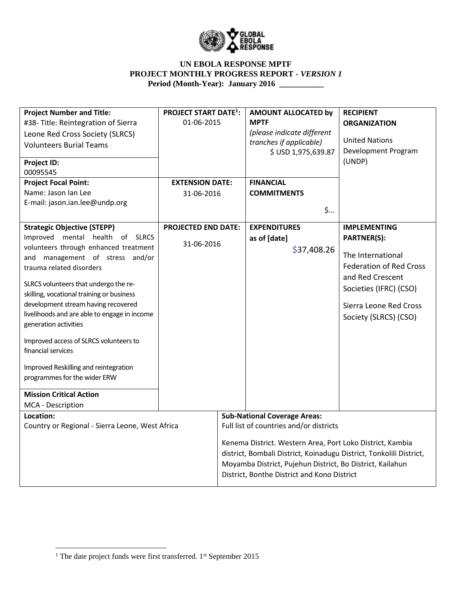

| <b>Project Number and Title:</b>                      | <b>PROJECT START DATE<sup>1</sup>:</b> |                                                                     | <b>AMOUNT ALLOCATED by</b>                                | <b>RECIPIENT</b>                                          |  |
|-------------------------------------------------------|----------------------------------------|---------------------------------------------------------------------|-----------------------------------------------------------|-----------------------------------------------------------|--|
| #38-Title: Reintegration of Sierra                    | 01-06-2015                             |                                                                     | <b>MPTF</b>                                               | <b>ORGANIZATION</b>                                       |  |
| Leone Red Cross Society (SLRCS)                       |                                        |                                                                     | (please indicate different                                |                                                           |  |
| <b>Volunteers Burial Teams</b>                        |                                        |                                                                     | tranches if applicable)                                   | <b>United Nations</b>                                     |  |
|                                                       |                                        |                                                                     | \$ USD 1,975,639.87                                       | Development Program                                       |  |
| <b>Project ID:</b>                                    |                                        |                                                                     |                                                           | (UNDP)                                                    |  |
| 00095545                                              |                                        |                                                                     |                                                           |                                                           |  |
| <b>Project Focal Point:</b>                           | <b>EXTENSION DATE:</b>                 |                                                                     | <b>FINANCIAL</b>                                          |                                                           |  |
| Name: Jason Ian Lee<br>E-mail: jason.ian.lee@undp.org | 31-06-2016                             |                                                                     | <b>COMMITMENTS</b>                                        |                                                           |  |
|                                                       |                                        |                                                                     |                                                           | $\mathsf{S}$                                              |  |
|                                                       |                                        |                                                                     |                                                           |                                                           |  |
| <b>Strategic Objective (STEPP)</b>                    | <b>PROJECTED END DATE:</b>             |                                                                     | <b>EXPENDITURES</b>                                       | <b>IMPLEMENTING</b>                                       |  |
| Improved mental health of SLRCS                       | 31-06-2016                             |                                                                     | as of [date]                                              | <b>PARTNER(S):</b>                                        |  |
| volunteers through enhanced treatment                 |                                        |                                                                     | \$37,408.26                                               |                                                           |  |
| and management of stress and/or                       |                                        |                                                                     |                                                           | The International                                         |  |
| trauma related disorders                              |                                        |                                                                     |                                                           | <b>Federation of Red Cross</b>                            |  |
| SLRCS volunteers that undergo the re-                 |                                        |                                                                     |                                                           | and Red Crescent                                          |  |
| skilling, vocational training or business             |                                        |                                                                     |                                                           | Societies (IFRC) (CSO)                                    |  |
| development stream having recovered                   |                                        |                                                                     |                                                           | Sierra Leone Red Cross                                    |  |
| livelihoods and are able to engage in income          |                                        |                                                                     |                                                           | Society (SLRCS) (CSO)                                     |  |
| generation activities                                 |                                        |                                                                     |                                                           |                                                           |  |
|                                                       |                                        |                                                                     |                                                           |                                                           |  |
| Improved access of SLRCS volunteers to                |                                        |                                                                     |                                                           |                                                           |  |
| financial services                                    |                                        |                                                                     |                                                           |                                                           |  |
| Improved Reskilling and reintegration                 |                                        |                                                                     |                                                           |                                                           |  |
| programmes for the wider ERW                          |                                        |                                                                     |                                                           |                                                           |  |
|                                                       |                                        |                                                                     |                                                           |                                                           |  |
| <b>Mission Critical Action</b>                        |                                        |                                                                     |                                                           |                                                           |  |
| MCA - Description                                     |                                        |                                                                     |                                                           |                                                           |  |
| Location:                                             |                                        |                                                                     | <b>Sub-National Coverage Areas:</b>                       |                                                           |  |
| Country or Regional - Sierra Leone, West Africa       |                                        |                                                                     | Full list of countries and/or districts                   |                                                           |  |
|                                                       |                                        |                                                                     |                                                           | Kenema District. Western Area, Port Loko District, Kambia |  |
|                                                       |                                        | district, Bombali District, Koinadugu District, Tonkolili District, |                                                           |                                                           |  |
|                                                       |                                        |                                                                     | Moyamba District, Pujehun District, Bo District, Kailahun |                                                           |  |
|                                                       |                                        |                                                                     | District, Bonthe District and Kono District               |                                                           |  |
|                                                       |                                        |                                                                     |                                                           |                                                           |  |

 $\overline{\phantom{a}}$ 

<sup>&</sup>lt;sup>1</sup> The date project funds were first transferred.  $1<sup>st</sup>$  September 2015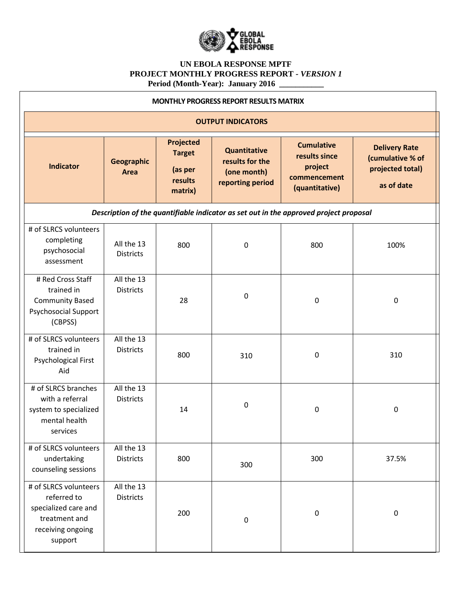

| <b>MONTHLY PROGRESS REPORT RESULTS MATRIX</b>                                                                 |                                |                                                                    |                                                                    |                                                                                       |                                                                            |  |
|---------------------------------------------------------------------------------------------------------------|--------------------------------|--------------------------------------------------------------------|--------------------------------------------------------------------|---------------------------------------------------------------------------------------|----------------------------------------------------------------------------|--|
|                                                                                                               | <b>OUTPUT INDICATORS</b>       |                                                                    |                                                                    |                                                                                       |                                                                            |  |
| <b>Indicator</b>                                                                                              | <b>Geographic</b><br>Area      | <b>Projected</b><br><b>Target</b><br>(as per<br>results<br>matrix) | Quantitative<br>results for the<br>(one month)<br>reporting period | <b>Cumulative</b><br>results since<br>project<br>commencement<br>(quantitative)       | <b>Delivery Rate</b><br>(cumulative % of<br>projected total)<br>as of date |  |
|                                                                                                               |                                |                                                                    |                                                                    | Description of the quantifiable indicator as set out in the approved project proposal |                                                                            |  |
| # of SLRCS volunteers<br>completing<br>psychosocial<br>assessment                                             | All the 13<br><b>Districts</b> | 800                                                                | 0                                                                  | 800                                                                                   | 100%                                                                       |  |
| # Red Cross Staff<br>trained in<br><b>Community Based</b><br><b>Psychosocial Support</b><br>(CBPSS)           | All the 13<br><b>Districts</b> | 28                                                                 | 0                                                                  | 0                                                                                     | 0                                                                          |  |
| # of SLRCS volunteers<br>trained in<br>Psychological First<br>Aid                                             | All the 13<br><b>Districts</b> | 800                                                                | 310                                                                | $\mathbf 0$                                                                           | 310                                                                        |  |
| # of SLRCS branches<br>with a referral<br>system to specialized<br>mental health<br>services                  | All the 13<br><b>Districts</b> | 14                                                                 | 0                                                                  | 0                                                                                     | 0                                                                          |  |
| # of SLRCS volunteers<br>undertaking<br>counseling sessions                                                   | All the 13<br><b>Districts</b> | 800                                                                | 300                                                                | 300                                                                                   | 37.5%                                                                      |  |
| # of SLRCS volunteers<br>referred to<br>specialized care and<br>treatment and<br>receiving ongoing<br>support | All the 13<br><b>Districts</b> | 200                                                                | $\boldsymbol{0}$                                                   | $\pmb{0}$                                                                             | 0                                                                          |  |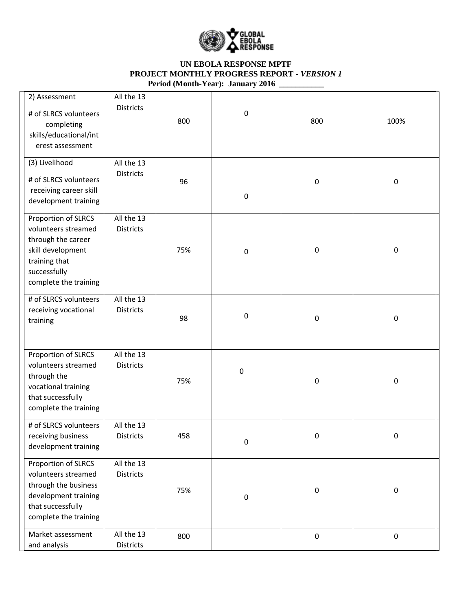

| 2) Assessment<br># of SLRCS volunteers<br>completing<br>skills/educational/int<br>erest assessment                                              | All the 13<br><b>Districts</b> | 800 | 0         | 800         | 100%      |
|-------------------------------------------------------------------------------------------------------------------------------------------------|--------------------------------|-----|-----------|-------------|-----------|
| (3) Livelihood<br># of SLRCS volunteers<br>receiving career skill<br>development training                                                       | All the 13<br><b>Districts</b> | 96  | 0         | $\pmb{0}$   | $\pmb{0}$ |
| Proportion of SLRCS<br>volunteers streamed<br>through the career<br>skill development<br>training that<br>successfully<br>complete the training | All the 13<br><b>Districts</b> | 75% | 0         | $\mathbf 0$ | $\pmb{0}$ |
| # of SLRCS volunteers<br>receiving vocational<br>training                                                                                       | All the 13<br><b>Districts</b> | 98  | 0         | $\pmb{0}$   | $\pmb{0}$ |
| Proportion of SLRCS<br>volunteers streamed<br>through the<br>vocational training<br>that successfully<br>complete the training                  | All the 13<br><b>Districts</b> | 75% | $\pmb{0}$ | $\mathbf 0$ | $\pmb{0}$ |
| # of SLRCS volunteers<br>receiving business<br>development training                                                                             | All the 13<br>Districts        | 458 | 0         | $\pmb{0}$   | 0         |
| Proportion of SLRCS<br>volunteers streamed<br>through the business<br>development training<br>that successfully<br>complete the training        | All the 13<br><b>Districts</b> | 75% | 0         | $\pmb{0}$   | $\pmb{0}$ |
| Market assessment<br>and analysis                                                                                                               | All the 13<br>Districts        | 800 |           | $\pmb{0}$   | $\pmb{0}$ |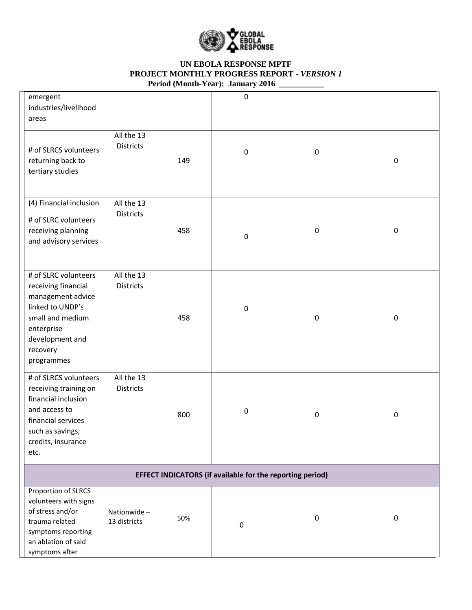

| emergent<br>industries/livelihood<br>areas                                                                                                                          |                                |     | $\pmb{0}$   |             |             |
|---------------------------------------------------------------------------------------------------------------------------------------------------------------------|--------------------------------|-----|-------------|-------------|-------------|
| # of SLRCS volunteers<br>returning back to<br>tertiary studies                                                                                                      | All the 13<br><b>Districts</b> | 149 | 0           | $\pmb{0}$   | $\pmb{0}$   |
| (4) Financial inclusion<br># of SLRC volunteers<br>receiving planning<br>and advisory services                                                                      | All the 13<br><b>Districts</b> | 458 | 0           | $\pmb{0}$   | $\pmb{0}$   |
| # of SLRC volunteers<br>receiving financial<br>management advice<br>linked to UNDP's<br>small and medium<br>enterprise<br>development and<br>recovery<br>programmes | All the 13<br><b>Districts</b> | 458 | 0           | $\pmb{0}$   | $\pmb{0}$   |
| # of SLRCS volunteers<br>receiving training on<br>financial inclusion<br>and access to<br>financial services<br>such as savings,<br>credits, insurance<br>etc.      | All the 13<br><b>Districts</b> | 800 | 0           | $\pmb{0}$   | $\pmb{0}$   |
| EFFECT INDICATORS (if available for the reporting period)                                                                                                           |                                |     |             |             |             |
| Proportion of SLRCS<br>volunteers with signs<br>of stress and/or<br>trauma related<br>symptoms reporting<br>an ablation of said<br>symptoms after                   | Nationwide-<br>13 districts    | 50% | $\mathbf 0$ | $\mathbf 0$ | $\mathbf 0$ |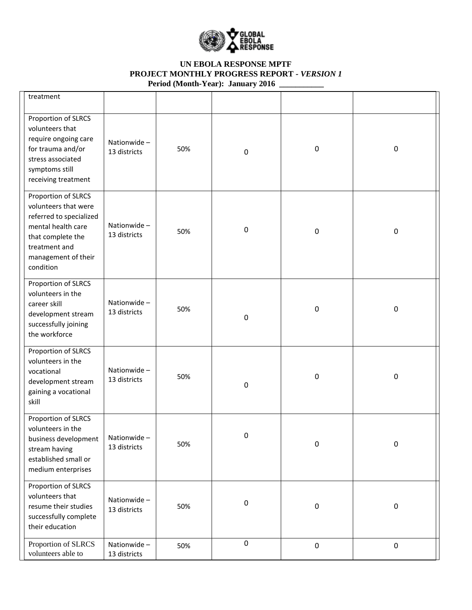

| treatment                                                                                                                                                              |                             |     |                  |             |           |
|------------------------------------------------------------------------------------------------------------------------------------------------------------------------|-----------------------------|-----|------------------|-------------|-----------|
| Proportion of SLRCS<br>volunteers that<br>require ongoing care<br>for trauma and/or<br>stress associated<br>symptoms still<br>receiving treatment                      | Nationwide-<br>13 districts | 50% | $\boldsymbol{0}$ | $\pmb{0}$   | 0         |
| Proportion of SLRCS<br>volunteers that were<br>referred to specialized<br>mental health care<br>that complete the<br>treatment and<br>management of their<br>condition | Nationwide-<br>13 districts | 50% | $\boldsymbol{0}$ | $\mathbf 0$ | $\pmb{0}$ |
| Proportion of SLRCS<br>volunteers in the<br>career skill<br>development stream<br>successfully joining<br>the workforce                                                | Nationwide-<br>13 districts | 50% | $\boldsymbol{0}$ | $\mathbf 0$ | $\pmb{0}$ |
| Proportion of SLRCS<br>volunteers in the<br>vocational<br>development stream<br>gaining a vocational<br>skill                                                          | Nationwide-<br>13 districts | 50% | $\boldsymbol{0}$ | $\pmb{0}$   | 0         |
| Proportion of SLRCS<br>volunteers in the<br>business development<br>stream having<br>established small or<br>medium enterprises                                        | Nationwide<br>13 districts  | 50% | 0                | $\pmb{0}$   | $\pmb{0}$ |
| Proportion of SLRCS<br>volunteers that<br>resume their studies<br>successfully complete<br>their education                                                             | Nationwide-<br>13 districts | 50% | $\pmb{0}$        | $\pmb{0}$   | $\pmb{0}$ |
| Proportion of SLRCS<br>volunteers able to                                                                                                                              | Nationwide-<br>13 districts | 50% | $\pmb{0}$        | $\pmb{0}$   | $\pmb{0}$ |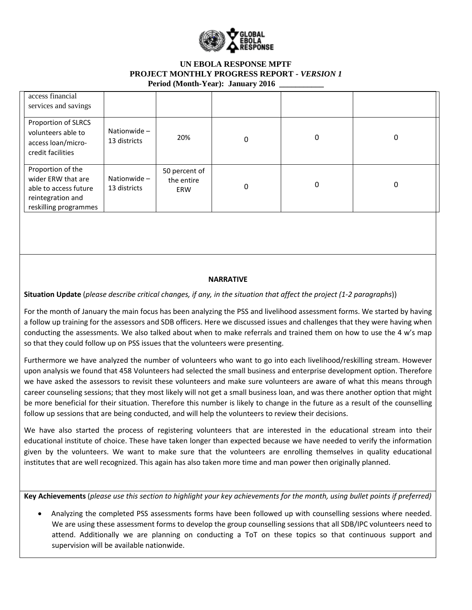

| access financial<br>services and savings                                                                       |                             |                                    |   |          |   |
|----------------------------------------------------------------------------------------------------------------|-----------------------------|------------------------------------|---|----------|---|
| Proportion of SLRCS<br>volunteers able to<br>access loan/micro-<br>credit facilities                           | Nationwide-<br>13 districts | 20%                                | 0 | $\Omega$ | 0 |
| Proportion of the<br>wider ERW that are<br>able to access future<br>reintegration and<br>reskilling programmes | Nationwide-<br>13 districts | 50 percent of<br>the entire<br>ERW | 0 | 0        | 0 |

#### **NARRATIVE**

**Situation Update** (*please describe critical changes, if any, in the situation that affect the project (1-2 paragraphs*))

For the month of January the main focus has been analyzing the PSS and livelihood assessment forms. We started by having a follow up training for the assessors and SDB officers. Here we discussed issues and challenges that they were having when conducting the assessments. We also talked about when to make referrals and trained them on how to use the 4 w's map so that they could follow up on PSS issues that the volunteers were presenting.

Furthermore we have analyzed the number of volunteers who want to go into each livelihood/reskilling stream. However upon analysis we found that 458 Volunteers had selected the small business and enterprise development option. Therefore we have asked the assessors to revisit these volunteers and make sure volunteers are aware of what this means through career counseling sessions; that they most likely will not get a small business loan, and was there another option that might be more beneficial for their situation. Therefore this number is likely to change in the future as a result of the counselling follow up sessions that are being conducted, and will help the volunteers to review their decisions.

We have also started the process of registering volunteers that are interested in the educational stream into their educational institute of choice. These have taken longer than expected because we have needed to verify the information given by the volunteers. We want to make sure that the volunteers are enrolling themselves in quality educational institutes that are well recognized. This again has also taken more time and man power then originally planned.

**Key Achievements** (*please use this section to highlight your key achievements for the month, using bullet points if preferred)*

 Analyzing the completed PSS assessments forms have been followed up with counselling sessions where needed. We are using these assessment forms to develop the group counselling sessions that all SDB/IPC volunteers need to attend. Additionally we are planning on conducting a ToT on these topics so that continuous support and supervision will be available nationwide.